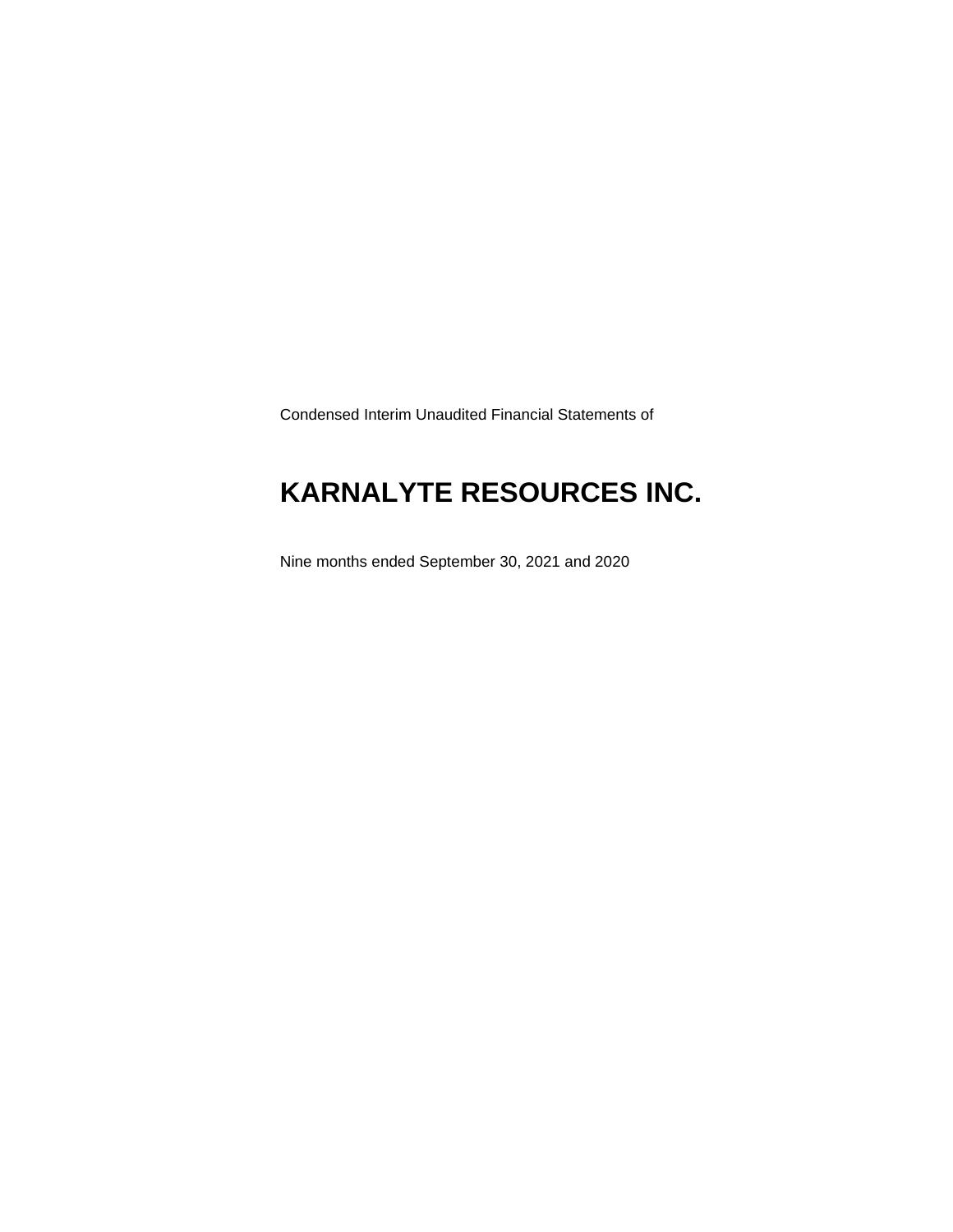Condensed Interim Unaudited Financial Statements of

## **KARNALYTE RESOURCES INC.**

Nine months ended September 30, 2021 and 2020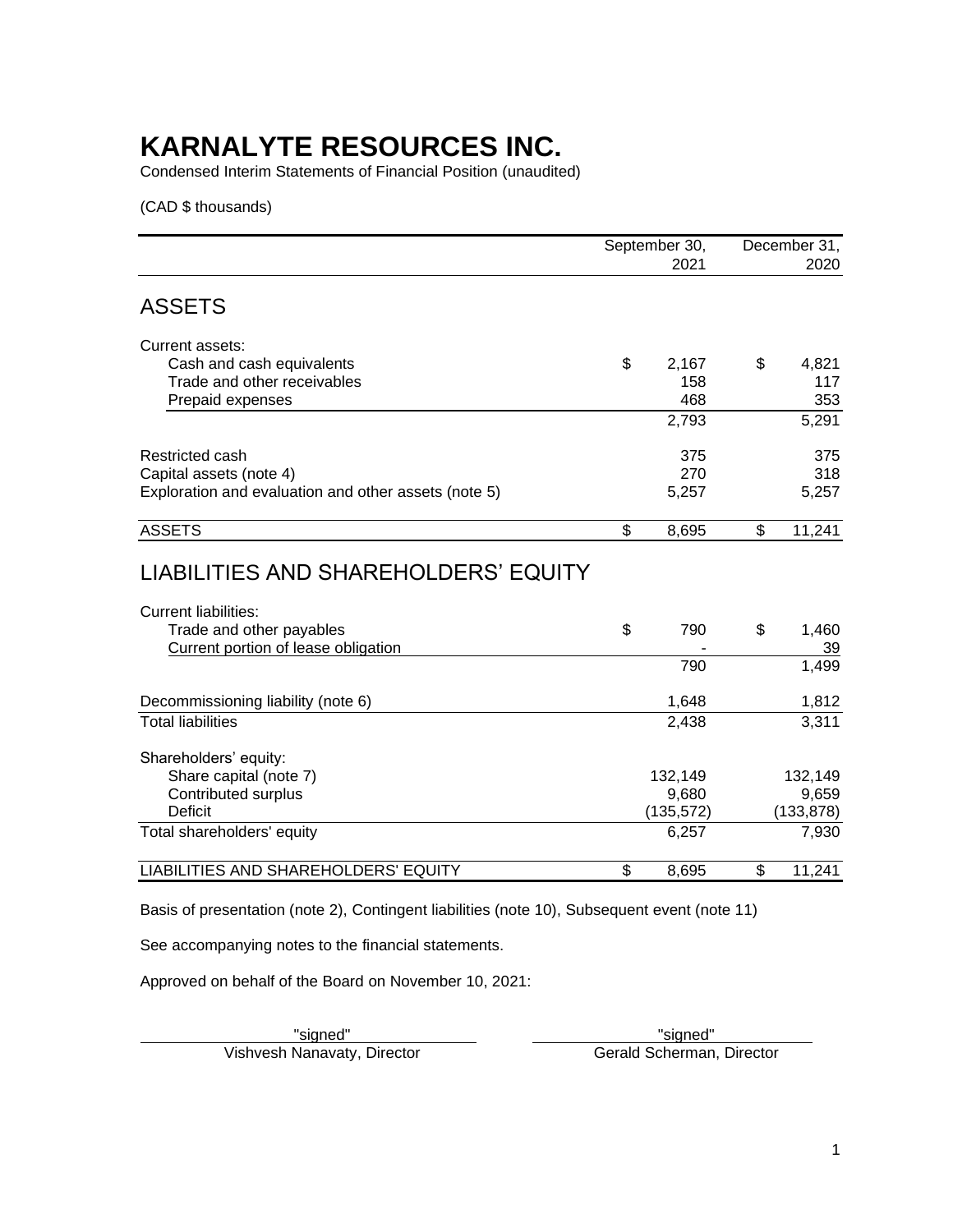Condensed Interim Statements of Financial Position (unaudited)

(CAD \$ thousands)

|                                                                     | September 30, |                | December 31, |
|---------------------------------------------------------------------|---------------|----------------|--------------|
|                                                                     | 2021          |                | 2020         |
| <b>ASSETS</b>                                                       |               |                |              |
| Current assets:                                                     |               |                |              |
| Cash and cash equivalents                                           | \$<br>2,167   | \$             | 4,821        |
| Trade and other receivables                                         | 158           |                | 117          |
| Prepaid expenses                                                    | 468           |                | 353          |
|                                                                     | 2,793         |                | 5,291        |
| Restricted cash                                                     | 375           |                | 375          |
| Capital assets (note 4)                                             | 270           |                | 318          |
| Exploration and evaluation and other assets (note 5)                | 5,257         |                | 5,257        |
| <b>ASSETS</b>                                                       | \$<br>8,695   | $\mathfrak{L}$ | 11,241       |
| LIABILITIES AND SHAREHOLDERS' EQUITY<br><b>Current liabilities:</b> |               |                |              |
| Trade and other payables                                            | \$<br>790     | \$             | 1,460        |
| Current portion of lease obligation                                 |               |                | 39           |
|                                                                     | 790           |                | 1,499        |
| Decommissioning liability (note 6)                                  | 1,648         |                | 1,812        |
| <b>Total liabilities</b>                                            | 2,438         |                | 3,311        |
| Shareholders' equity:                                               |               |                |              |
| Share capital (note 7)                                              | 132,149       |                | 132,149      |
| Contributed surplus                                                 | 9,680         |                | 9,659        |
| <b>Deficit</b>                                                      | (135, 572)    |                | (133, 878)   |
| Total shareholders' equity                                          | 6,257         |                | 7,930        |
| LIABILITIES AND SHAREHOLDERS' EQUITY                                | \$<br>8,695   | \$             | 11,241       |

Basis of presentation (note 2), Contingent liabilities (note 10), Subsequent event (note 11)

See accompanying notes to the financial statements.

Approved on behalf of the Board on November 10, 2021:

Vishvesh Nanavaty, Director

Example of the signed"<br>
"Signed" Manavaty, Director Connection Connection Connection Connection Connection Connection Connection Conn<br>
Connection Connection Connection Connection Connection Connection Connection Connection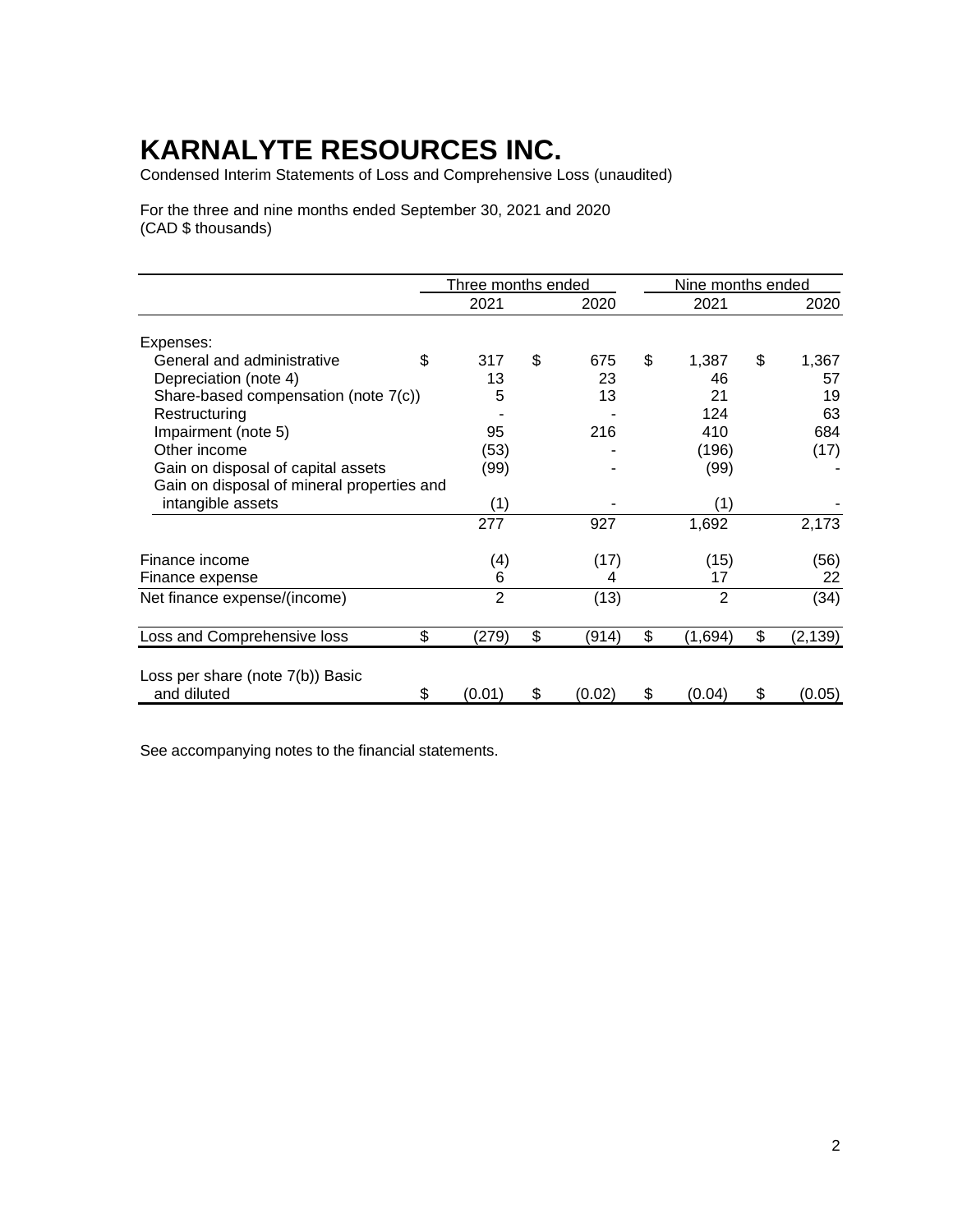Condensed Interim Statements of Loss and Comprehensive Loss (unaudited)

For the three and nine months ended September 30, 2021 and 2020 (CAD \$ thousands)

|                                            | Three months ended |              | Nine months ended |                |
|--------------------------------------------|--------------------|--------------|-------------------|----------------|
|                                            | 2021               | 2020         | 2021              | 2020           |
| Expenses:                                  |                    |              |                   |                |
| General and administrative                 | \$<br>317          | \$<br>675    | \$<br>1,387       | \$<br>1,367    |
| Depreciation (note 4)                      | 13                 | 23           | 46                | 57             |
| Share-based compensation (note 7(c))       | 5                  | 13           | 21                | 19             |
| Restructuring                              |                    |              | 124               | 63             |
| Impairment (note 5)                        | 95                 | 216          | 410               | 684            |
| Other income                               | (53)               |              | (196)             | (17)           |
| Gain on disposal of capital assets         | (99)               |              | (99)              |                |
| Gain on disposal of mineral properties and |                    |              |                   |                |
| intangible assets                          | (1)                |              | (1)               |                |
|                                            | 277                | 927          | 1,692             | 2,173          |
| Finance income                             | (4)                | (17)         | (15)              | (56)           |
| Finance expense                            | 6                  | 4            | 17                | 22             |
| Net finance expense/(income)               | $\overline{2}$     | (13)         | 2                 | (34)           |
| Loss and Comprehensive loss                | \$<br>(279)        | \$<br>(914)  | \$<br>(1,694)     | \$<br>(2, 139) |
|                                            |                    |              |                   |                |
| Loss per share (note 7(b)) Basic           |                    |              |                   |                |
| and diluted                                | \$<br>(0.01)       | \$<br>(0.02) | \$<br>(0.04)      | \$<br>(0.05)   |

See accompanying notes to the financial statements.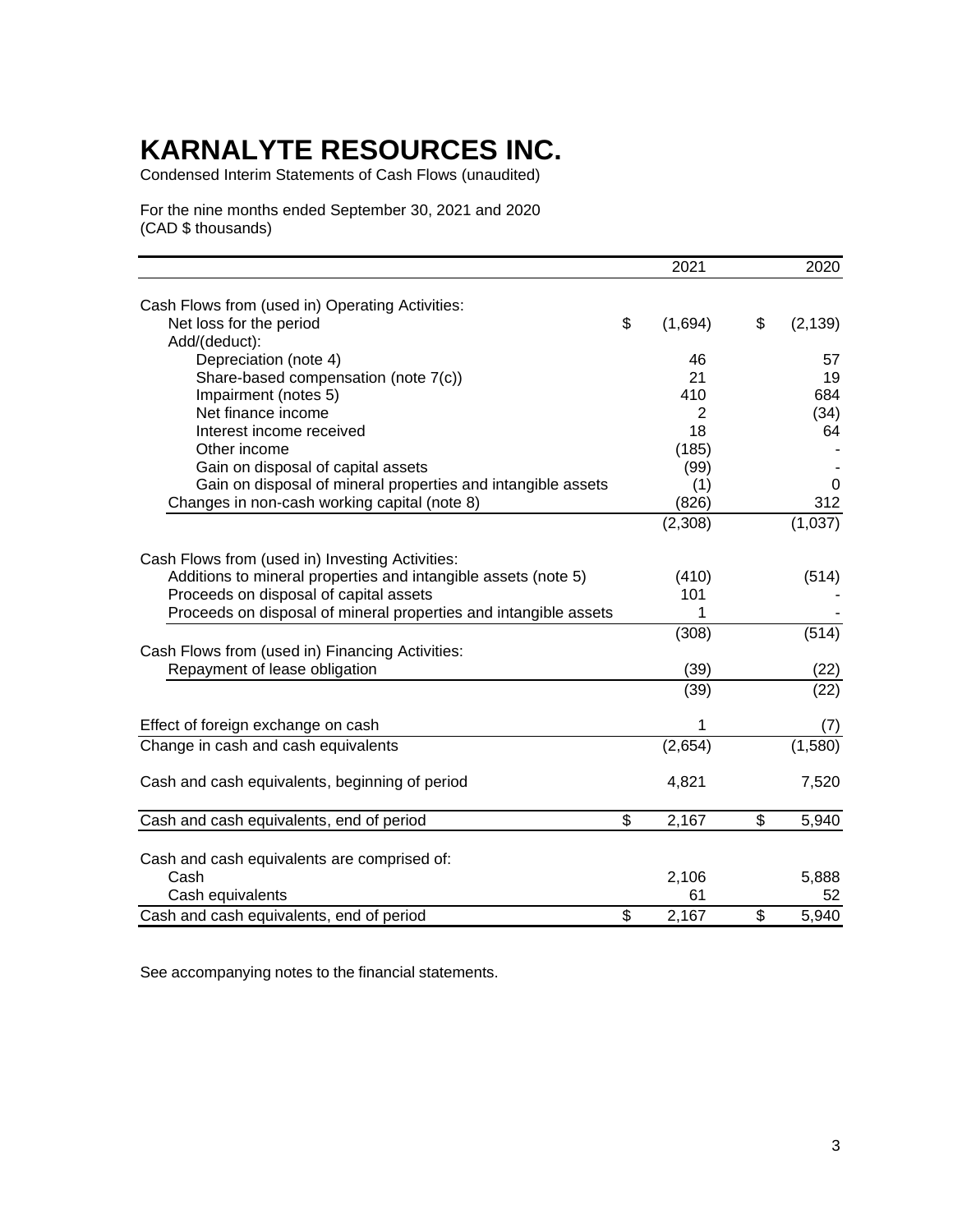Condensed Interim Statements of Cash Flows (unaudited)

For the nine months ended September 30, 2021 and 2020 (CAD \$ thousands)

|                                                                            | 2021           | 2020        |
|----------------------------------------------------------------------------|----------------|-------------|
|                                                                            |                |             |
| Cash Flows from (used in) Operating Activities:<br>Net loss for the period | \$             | \$          |
| Add/(deduct):                                                              | (1,694)        | (2, 139)    |
| Depreciation (note 4)                                                      | 46             | 57          |
| Share-based compensation (note 7(c))                                       | 21             | 19          |
|                                                                            | 410            | 684         |
| Impairment (notes 5)<br>Net finance income                                 | $\overline{2}$ |             |
| Interest income received                                                   | 18             | (34)<br>64  |
|                                                                            |                |             |
| Other income                                                               | (185)          |             |
| Gain on disposal of capital assets                                         | (99)           |             |
| Gain on disposal of mineral properties and intangible assets               | (1)            | 0           |
| Changes in non-cash working capital (note 8)                               | (826)          | 312         |
|                                                                            | (2,308)        | (1,037)     |
| Cash Flows from (used in) Investing Activities:                            |                |             |
| Additions to mineral properties and intangible assets (note 5)             | (410)          | (514)       |
| Proceeds on disposal of capital assets                                     | 101            |             |
| Proceeds on disposal of mineral properties and intangible assets           | 1              |             |
|                                                                            | (308)          | (514)       |
| Cash Flows from (used in) Financing Activities:                            |                |             |
| Repayment of lease obligation                                              | (39)           | (22)        |
|                                                                            |                |             |
|                                                                            | (39)           | (22)        |
| Effect of foreign exchange on cash                                         | 1              | (7)         |
| Change in cash and cash equivalents                                        | (2,654)        | (1,580)     |
| Cash and cash equivalents, beginning of period                             | 4,821          | 7,520       |
| Cash and cash equivalents, end of period                                   | \$<br>2,167    | \$<br>5,940 |
|                                                                            |                |             |
| Cash and cash equivalents are comprised of:                                |                |             |
| Cash                                                                       | 2,106          | 5,888       |
| Cash equivalents                                                           | 61             | 52          |
| Cash and cash equivalents, end of period                                   | \$<br>2,167    | \$<br>5,940 |
|                                                                            |                |             |

See accompanying notes to the financial statements.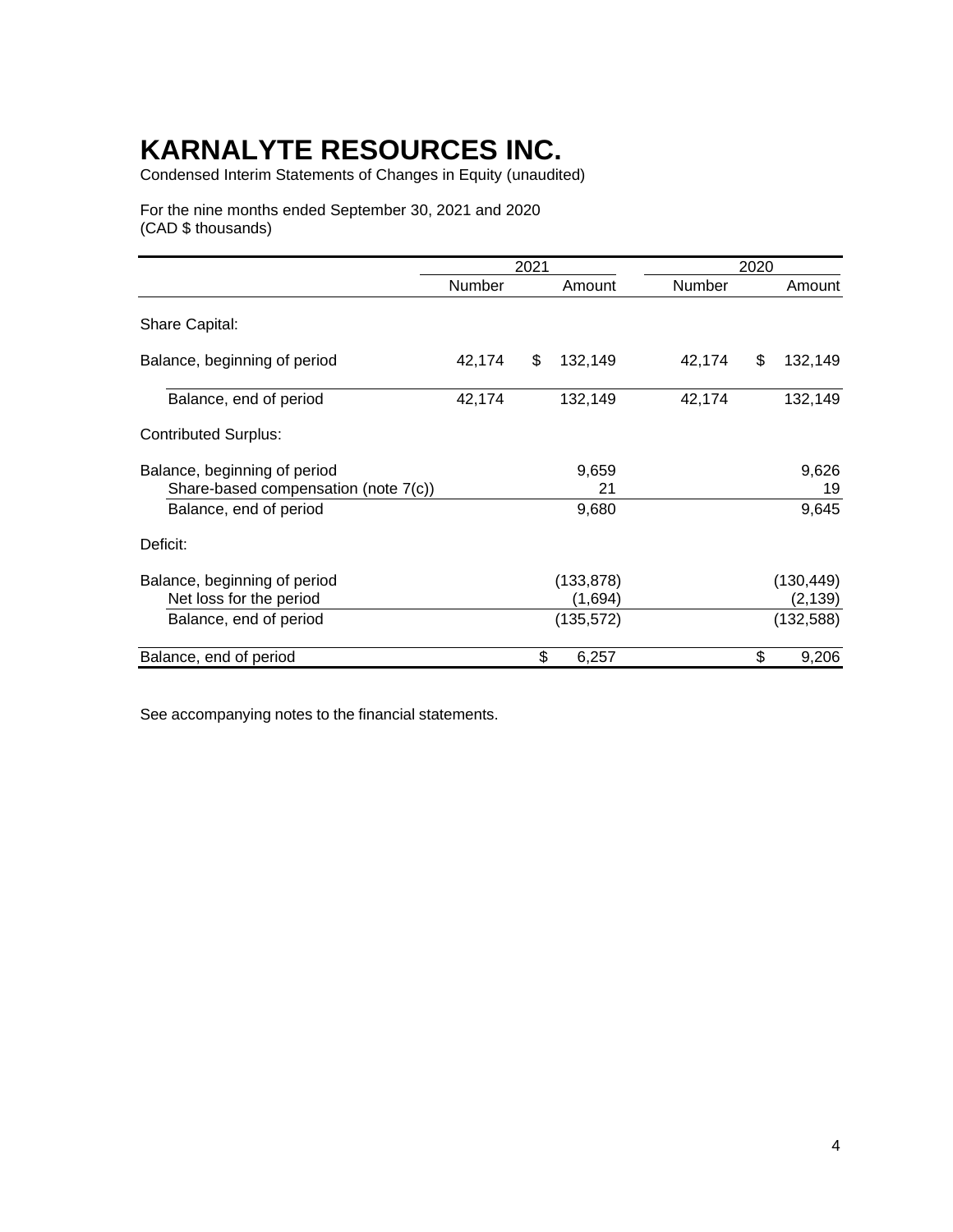Condensed Interim Statements of Changes in Equity (unaudited)

For the nine months ended September 30, 2021 and 2020 (CAD \$ thousands)

|                                                                      |        | 2021 |                       |               | 2020 |                        |
|----------------------------------------------------------------------|--------|------|-----------------------|---------------|------|------------------------|
|                                                                      | Number |      | Amount                | <b>Number</b> |      | Amount                 |
| <b>Share Capital:</b>                                                |        |      |                       |               |      |                        |
| Balance, beginning of period                                         | 42,174 | \$   | 132,149               | 42,174        | \$   | 132,149                |
| Balance, end of period                                               | 42,174 |      | 132,149               | 42,174        |      | 132,149                |
| <b>Contributed Surplus:</b>                                          |        |      |                       |               |      |                        |
| Balance, beginning of period<br>Share-based compensation (note 7(c)) |        |      | 9,659<br>21           |               |      | 9,626<br>19            |
| Balance, end of period                                               |        |      | 9,680                 |               |      | 9,645                  |
| Deficit:                                                             |        |      |                       |               |      |                        |
| Balance, beginning of period<br>Net loss for the period              |        |      | (133, 878)<br>(1,694) |               |      | (130, 449)<br>(2, 139) |
| Balance, end of period                                               |        |      | (135, 572)            |               |      | (132, 588)             |
| Balance, end of period                                               |        | \$   | 6,257                 |               | \$   | 9,206                  |

See accompanying notes to the financial statements.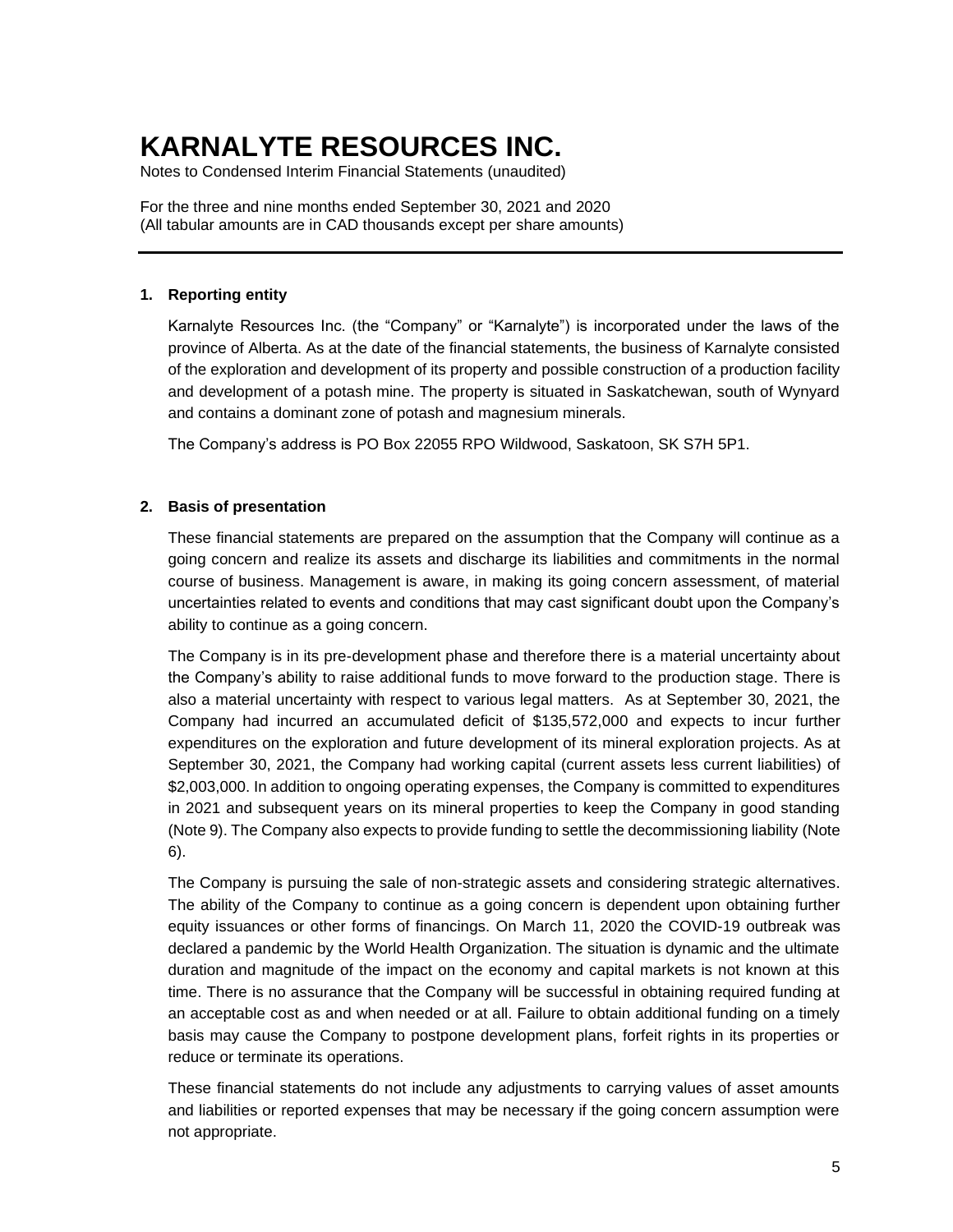Notes to Condensed Interim Financial Statements (unaudited)

For the three and nine months ended September 30, 2021 and 2020 (All tabular amounts are in CAD thousands except per share amounts)

### **1. Reporting entity**

Karnalyte Resources Inc. (the "Company" or "Karnalyte") is incorporated under the laws of the province of Alberta. As at the date of the financial statements, the business of Karnalyte consisted of the exploration and development of its property and possible construction of a production facility and development of a potash mine. The property is situated in Saskatchewan, south of Wynyard and contains a dominant zone of potash and magnesium minerals.

The Company's address is PO Box 22055 RPO Wildwood, Saskatoon, SK S7H 5P1.

#### **2. Basis of presentation**

These financial statements are prepared on the assumption that the Company will continue as a going concern and realize its assets and discharge its liabilities and commitments in the normal course of business. Management is aware, in making its going concern assessment, of material uncertainties related to events and conditions that may cast significant doubt upon the Company's ability to continue as a going concern.

The Company is in its pre-development phase and therefore there is a material uncertainty about the Company's ability to raise additional funds to move forward to the production stage. There is also a material uncertainty with respect to various legal matters. As at September 30, 2021, the Company had incurred an accumulated deficit of \$135,572,000 and expects to incur further expenditures on the exploration and future development of its mineral exploration projects. As at September 30, 2021, the Company had working capital (current assets less current liabilities) of \$2,003,000. In addition to ongoing operating expenses, the Company is committed to expenditures in 2021 and subsequent years on its mineral properties to keep the Company in good standing (Note 9). The Company also expects to provide funding to settle the decommissioning liability (Note 6).

The Company is pursuing the sale of non-strategic assets and considering strategic alternatives. The ability of the Company to continue as a going concern is dependent upon obtaining further equity issuances or other forms of financings. On March 11, 2020 the COVID-19 outbreak was declared a pandemic by the World Health Organization. The situation is dynamic and the ultimate duration and magnitude of the impact on the economy and capital markets is not known at this time. There is no assurance that the Company will be successful in obtaining required funding at an acceptable cost as and when needed or at all. Failure to obtain additional funding on a timely basis may cause the Company to postpone development plans, forfeit rights in its properties or reduce or terminate its operations.

These financial statements do not include any adjustments to carrying values of asset amounts and liabilities or reported expenses that may be necessary if the going concern assumption were not appropriate.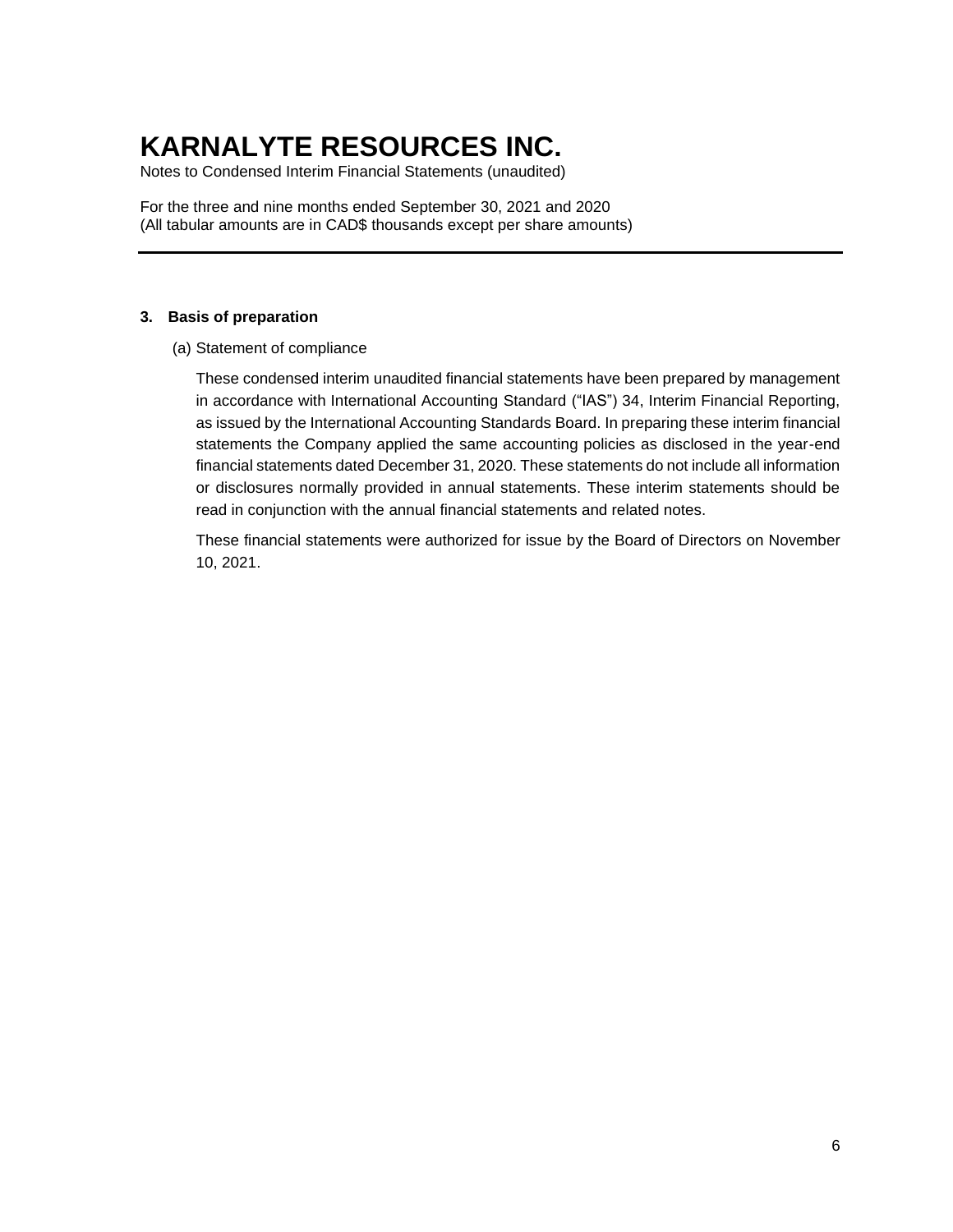Notes to Condensed Interim Financial Statements (unaudited)

For the three and nine months ended September 30, 2021 and 2020 (All tabular amounts are in CAD\$ thousands except per share amounts)

### **3. Basis of preparation**

(a) Statement of compliance

These condensed interim unaudited financial statements have been prepared by management in accordance with International Accounting Standard ("IAS") 34, Interim Financial Reporting, as issued by the International Accounting Standards Board. In preparing these interim financial statements the Company applied the same accounting policies as disclosed in the year-end financial statements dated December 31, 2020. These statements do not include all information or disclosures normally provided in annual statements. These interim statements should be read in conjunction with the annual financial statements and related notes.

These financial statements were authorized for issue by the Board of Directors on November 10, 2021.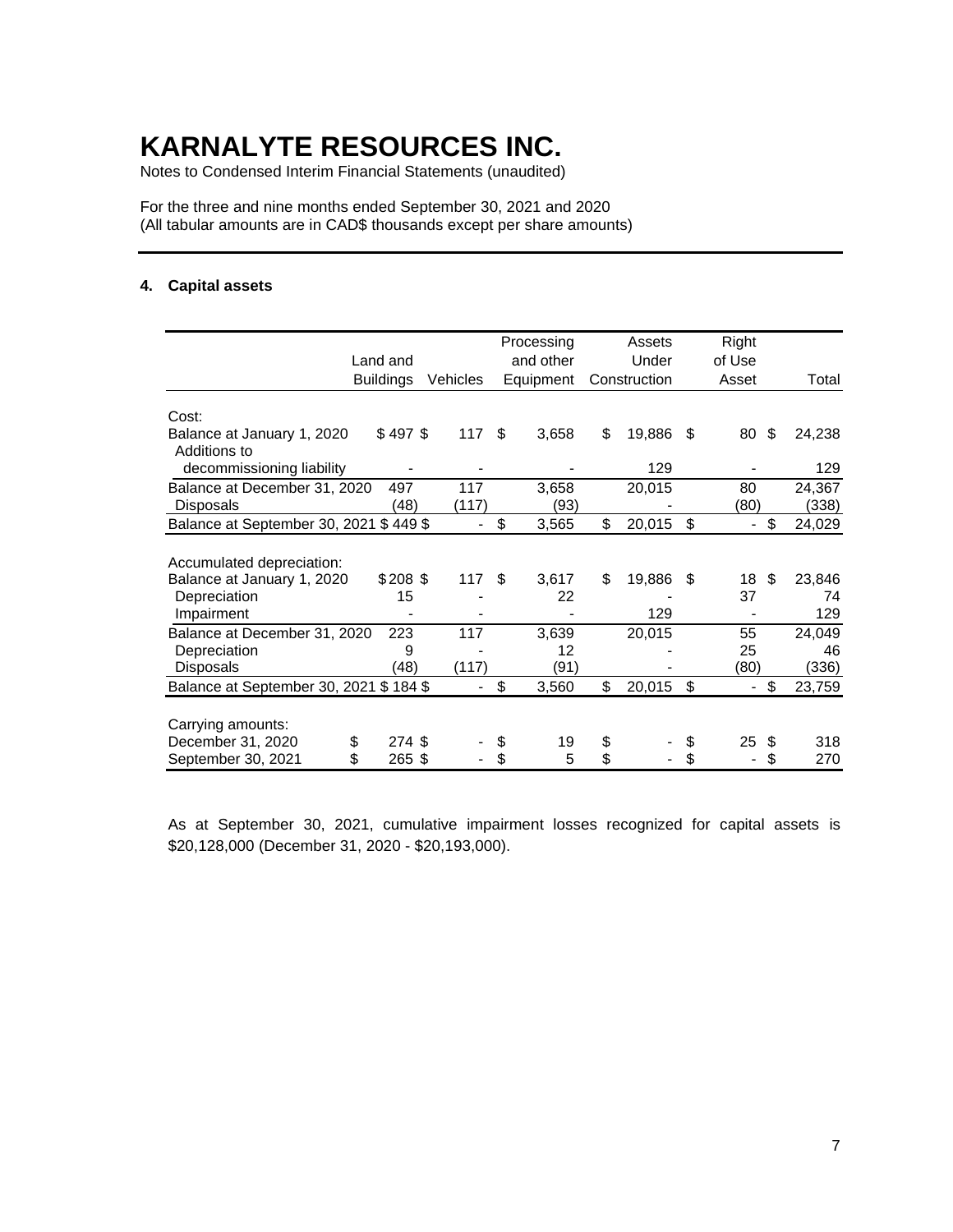Notes to Condensed Interim Financial Statements (unaudited)

For the three and nine months ended September 30, 2021 and 2020 (All tabular amounts are in CAD\$ thousands except per share amounts)

### **4. Capital assets**

|                                            | Land and         |          | Processing<br>and other | Assets<br>Under<br>Construction |        |    | Right<br>of Use |    |        |
|--------------------------------------------|------------------|----------|-------------------------|---------------------------------|--------|----|-----------------|----|--------|
|                                            | <b>Buildings</b> | Vehicles | Equipment               |                                 |        |    | Asset           |    | Total  |
| Cost:                                      | \$497\$          | 117      | \$<br>3,658             | \$                              | 19,886 | S  | 80              | S  | 24,238 |
| Balance at January 1, 2020<br>Additions to |                  |          |                         |                                 |        |    |                 |    |        |
| decommissioning liability                  |                  |          |                         |                                 | 129    |    |                 |    | 129    |
| Balance at December 31, 2020               | 497              | 117      | 3,658                   |                                 | 20,015 |    | 80              |    | 24,367 |
| <b>Disposals</b>                           | (48)             | (117)    | (93)                    |                                 |        |    | (80)            |    | (338)  |
| Balance at September 30, 2021 \$ 449 \$    |                  |          | \$<br>3,565             | \$                              | 20,015 | \$ |                 | \$ | 24,029 |
|                                            |                  |          |                         |                                 |        |    |                 |    |        |
| Accumulated depreciation:                  |                  |          |                         |                                 |        |    |                 |    |        |
| Balance at January 1, 2020                 | $$208$ \$        | 117      | \$<br>3,617             | \$                              | 19,886 | \$ | 18              | \$ | 23,846 |
| Depreciation                               | 15               |          | 22                      |                                 |        |    | 37              |    | 74     |
| Impairment                                 |                  |          |                         |                                 | 129    |    |                 |    | 129    |
| Balance at December 31, 2020               | 223              | 117      | 3,639                   |                                 | 20,015 |    | 55              |    | 24,049 |
| Depreciation                               | 9                |          | 12                      |                                 |        |    | 25              |    | 46     |
| <b>Disposals</b>                           | (48)             | (117)    | (91)                    |                                 |        |    | (80)            |    | (336)  |
| Balance at September 30, 2021 \$ 184 \$    |                  |          | \$<br>3,560             | \$                              | 20,015 | \$ |                 | \$ | 23,759 |
|                                            |                  |          |                         |                                 |        |    |                 |    |        |
| Carrying amounts:                          |                  |          |                         |                                 |        |    |                 |    |        |
| December 31, 2020<br>\$                    | 274 \$           |          | \$<br>19                | \$                              |        | \$ | 25              | S  | 318    |
| September 30, 2021<br>\$.                  | 265 \$           |          | 5                       | \$                              |        |    |                 |    | 270    |

As at September 30, 2021, cumulative impairment losses recognized for capital assets is \$20,128,000 (December 31, 2020 - \$20,193,000).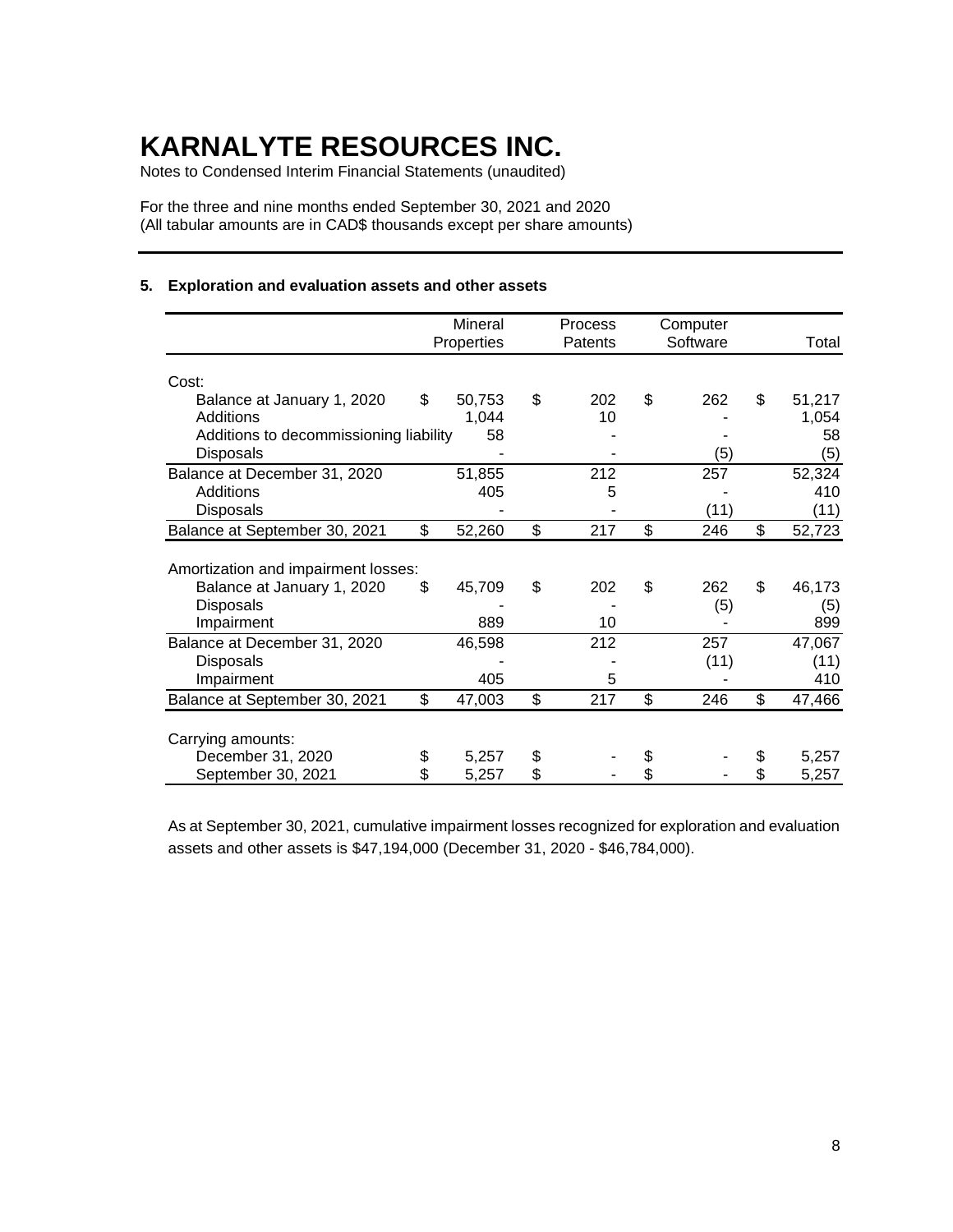Notes to Condensed Interim Financial Statements (unaudited)

For the three and nine months ended September 30, 2021 and 2020 (All tabular amounts are in CAD\$ thousands except per share amounts)

### **5. Exploration and evaluation assets and other assets**

|                                        | Mineral      | Process   | Computer  |              |
|----------------------------------------|--------------|-----------|-----------|--------------|
|                                        | Properties   | Patents   | Software  | Total        |
| Cost:                                  |              |           |           |              |
| Balance at January 1, 2020             | \$<br>50,753 | \$<br>202 | \$<br>262 | \$<br>51,217 |
| Additions                              | 1,044        | 10        |           | 1,054        |
| Additions to decommissioning liability | 58           |           |           | 58           |
| Disposals                              |              |           | (5)       | (5)          |
| Balance at December 31, 2020           | 51,855       | 212       | 257       | 52,324       |
| Additions                              | 405          | 5         |           | 410          |
| <b>Disposals</b>                       |              |           | (11)      | (11)         |
| Balance at September 30, 2021          | \$<br>52,260 | \$<br>217 | \$<br>246 | \$<br>52,723 |
|                                        |              |           |           |              |
| Amortization and impairment losses:    |              |           |           |              |
| Balance at January 1, 2020             | \$<br>45,709 | \$<br>202 | \$<br>262 | \$<br>46,173 |
| <b>Disposals</b>                       |              |           | (5)       | (5)          |
| Impairment                             | 889          | 10        |           | 899          |
| Balance at December 31, 2020           | 46,598       | 212       | 257       | 47,067       |
| <b>Disposals</b>                       |              |           | (11)      | (11)         |
| Impairment                             | 405          | 5         |           | 410          |
| Balance at September 30, 2021          | \$<br>47,003 | \$<br>217 | \$<br>246 | \$<br>47,466 |
|                                        |              |           |           |              |
| Carrying amounts:                      |              |           |           |              |
| December 31, 2020                      | \$<br>5,257  | \$        |           | \$<br>5,257  |
| September 30, 2021                     | \$<br>5,257  | \$        |           | 5,257        |

As at September 30, 2021, cumulative impairment losses recognized for exploration and evaluation assets and other assets is \$47,194,000 (December 31, 2020 - \$46,784,000).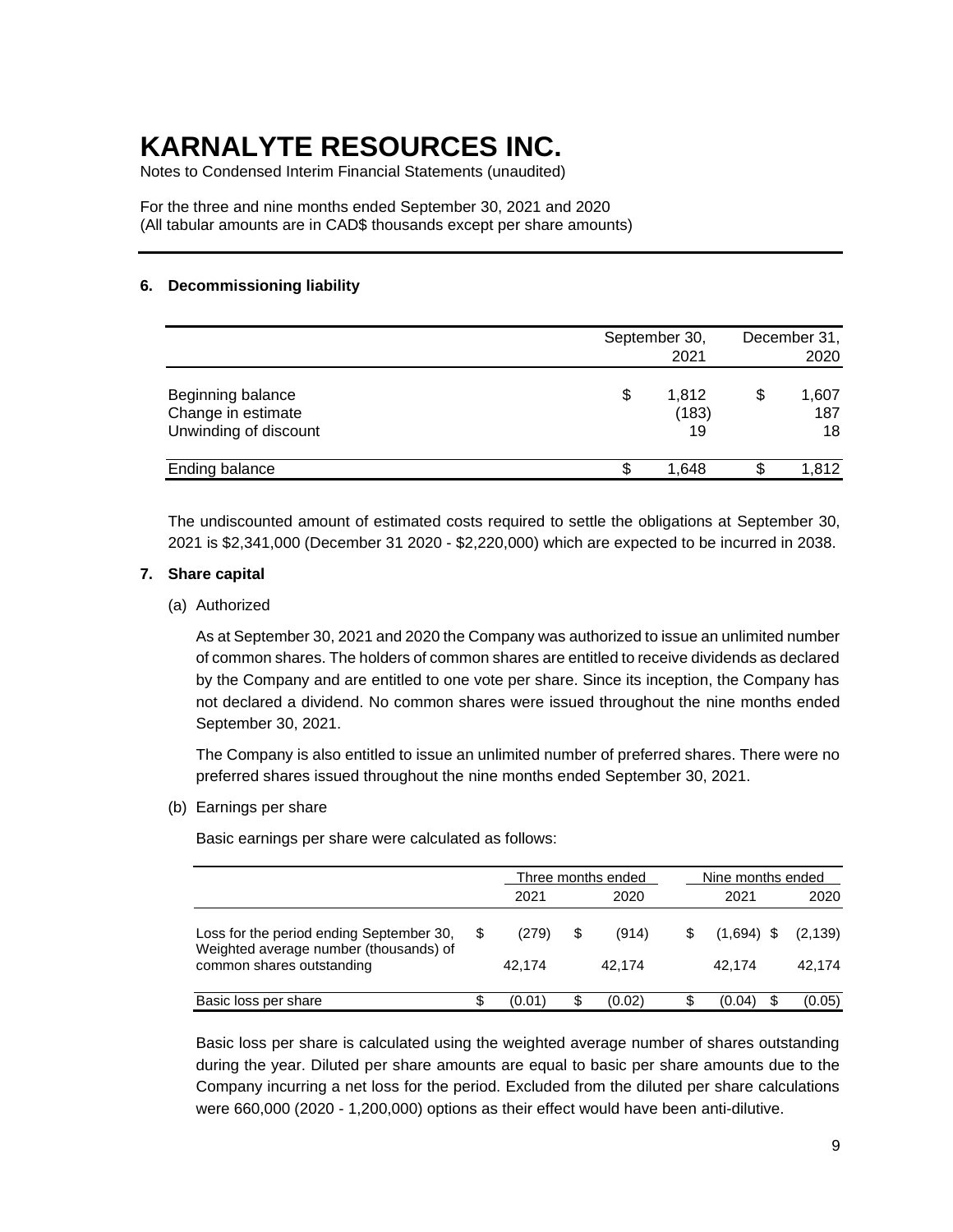Notes to Condensed Interim Financial Statements (unaudited)

For the three and nine months ended September 30, 2021 and 2020 (All tabular amounts are in CAD\$ thousands except per share amounts)

### **6. Decommissioning liability**

|                                                                  |   | September 30,<br>2021 | December 31,<br>2020 |                    |  |
|------------------------------------------------------------------|---|-----------------------|----------------------|--------------------|--|
| Beginning balance<br>Change in estimate<br>Unwinding of discount | S | 1,812<br>(183)<br>19  | \$                   | 1,607<br>187<br>18 |  |
| Ending balance                                                   |   | 1.648                 |                      | 1.812              |  |

The undiscounted amount of estimated costs required to settle the obligations at September 30, 2021 is \$2,341,000 (December 31 2020 - \$2,220,000) which are expected to be incurred in 2038.

#### **7. Share capital**

#### (a) Authorized

As at September 30, 2021 and 2020 the Company was authorized to issue an unlimited number of common shares. The holders of common shares are entitled to receive dividends as declared by the Company and are entitled to one vote per share. Since its inception, the Company has not declared a dividend. No common shares were issued throughout the nine months ended September 30, 2021.

The Company is also entitled to issue an unlimited number of preferred shares. There were no preferred shares issued throughout the nine months ended September 30, 2021.

(b) Earnings per share

Basic earnings per share were calculated as follows:

|                                                                                                                 |   |                 | Three months ended    | Nine months ended      |                    |  |
|-----------------------------------------------------------------------------------------------------------------|---|-----------------|-----------------------|------------------------|--------------------|--|
|                                                                                                                 |   | 2021            | 2020                  | 2021                   | 2020               |  |
| Loss for the period ending September 30,<br>Weighted average number (thousands) of<br>common shares outstanding | S | (279)<br>42.174 | \$<br>(914)<br>42.174 | $(1,694)$ \$<br>42.174 | (2, 139)<br>42.174 |  |
| Basic loss per share                                                                                            |   | (0.01)          | \$<br>(0.02)          | (0.04)                 | (0.05)             |  |

Basic loss per share is calculated using the weighted average number of shares outstanding during the year. Diluted per share amounts are equal to basic per share amounts due to the Company incurring a net loss for the period. Excluded from the diluted per share calculations were 660,000 (2020 - 1,200,000) options as their effect would have been anti-dilutive.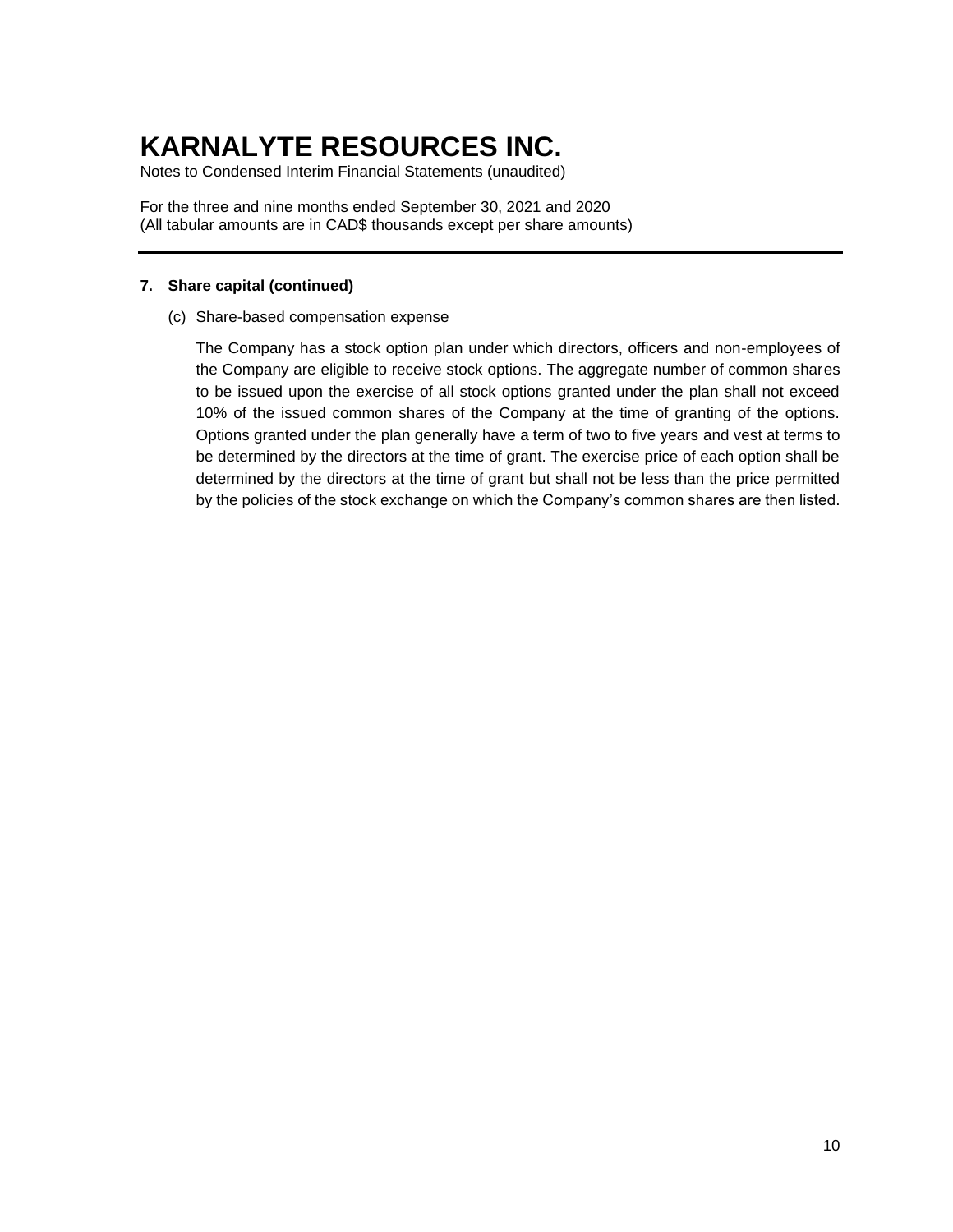Notes to Condensed Interim Financial Statements (unaudited)

For the three and nine months ended September 30, 2021 and 2020 (All tabular amounts are in CAD\$ thousands except per share amounts)

### **7. Share capital (continued)**

(c) Share-based compensation expense

The Company has a stock option plan under which directors, officers and non-employees of the Company are eligible to receive stock options. The aggregate number of common shares to be issued upon the exercise of all stock options granted under the plan shall not exceed 10% of the issued common shares of the Company at the time of granting of the options. Options granted under the plan generally have a term of two to five years and vest at terms to be determined by the directors at the time of grant. The exercise price of each option shall be determined by the directors at the time of grant but shall not be less than the price permitted by the policies of the stock exchange on which the Company's common shares are then listed.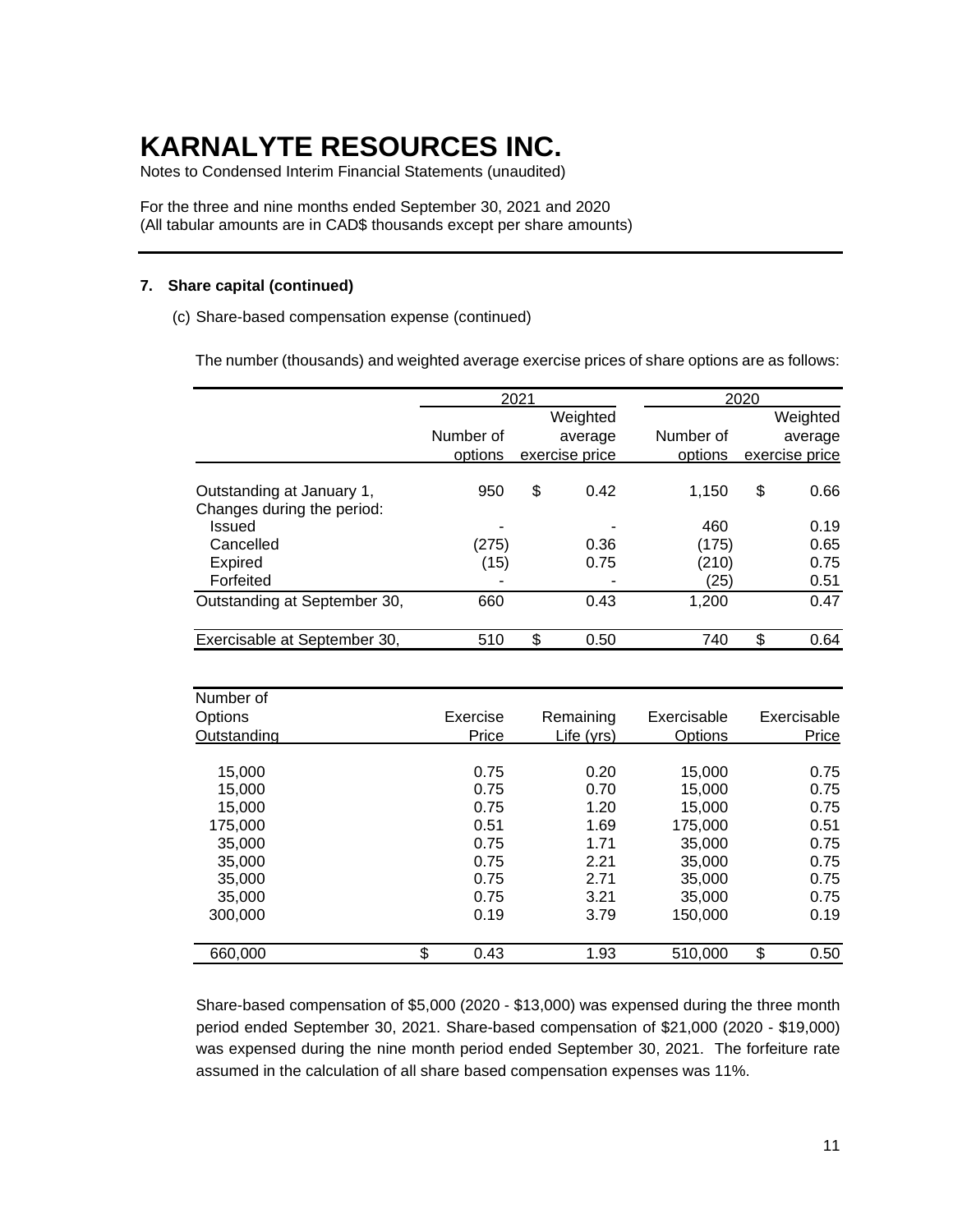Notes to Condensed Interim Financial Statements (unaudited)

For the three and nine months ended September 30, 2021 and 2020 (All tabular amounts are in CAD\$ thousands except per share amounts)

### **7. Share capital (continued)**

(c) Share-based compensation expense (continued)

The number (thousands) and weighted average exercise prices of share options are as follows:

|                                                         |           | 2021 |                |           | 2020                |                |  |
|---------------------------------------------------------|-----------|------|----------------|-----------|---------------------|----------------|--|
|                                                         |           |      | Weighted       |           | Weighted<br>average |                |  |
|                                                         | Number of |      | average        | Number of |                     |                |  |
|                                                         | options   |      | exercise price | options   |                     | exercise price |  |
| Outstanding at January 1,<br>Changes during the period: | 950       | \$   | 0.42           | 1.150     | \$                  | 0.66           |  |
| <b>Issued</b>                                           |           |      |                | 460       |                     | 0.19           |  |
| Cancelled                                               | (275)     |      | 0.36           | (175)     |                     | 0.65           |  |
| Expired                                                 | (15)      |      | 0.75           | (210)     |                     | 0.75           |  |
| Forfeited                                               |           |      |                | (25)      |                     | 0.51           |  |
| Outstanding at September 30,                            | 660       |      | 0.43           | 1,200     |                     | 0.47           |  |
| Exercisable at September 30,                            | 510       | \$   | 0.50           | 740       | \$                  | 0.64           |  |

| Number of   |            |            |             |             |
|-------------|------------|------------|-------------|-------------|
| Options     | Exercise   | Remaining  | Exercisable | Exercisable |
| Outstanding | Price      | Life (yrs) | Options     | Price       |
|             |            |            |             |             |
| 15,000      | 0.75       | 0.20       | 15,000      | 0.75        |
| 15.000      | 0.75       | 0.70       | 15,000      | 0.75        |
| 15,000      | 0.75       | 1.20       | 15,000      | 0.75        |
| 175.000     | 0.51       | 1.69       | 175,000     | 0.51        |
| 35,000      | 0.75       | 1.71       | 35,000      | 0.75        |
| 35,000      | 0.75       | 2.21       | 35,000      | 0.75        |
| 35,000      | 0.75       | 2.71       | 35,000      | 0.75        |
| 35,000      | 0.75       | 3.21       | 35,000      | 0.75        |
| 300,000     | 0.19       | 3.79       | 150,000     | 0.19        |
| 660,000     | \$<br>0.43 | 1.93       | 510.000     | \$<br>0.50  |

Share-based compensation of \$5,000 (2020 - \$13,000) was expensed during the three month period ended September 30, 2021. Share-based compensation of \$21,000 (2020 - \$19,000) was expensed during the nine month period ended September 30, 2021. The forfeiture rate assumed in the calculation of all share based compensation expenses was 11%.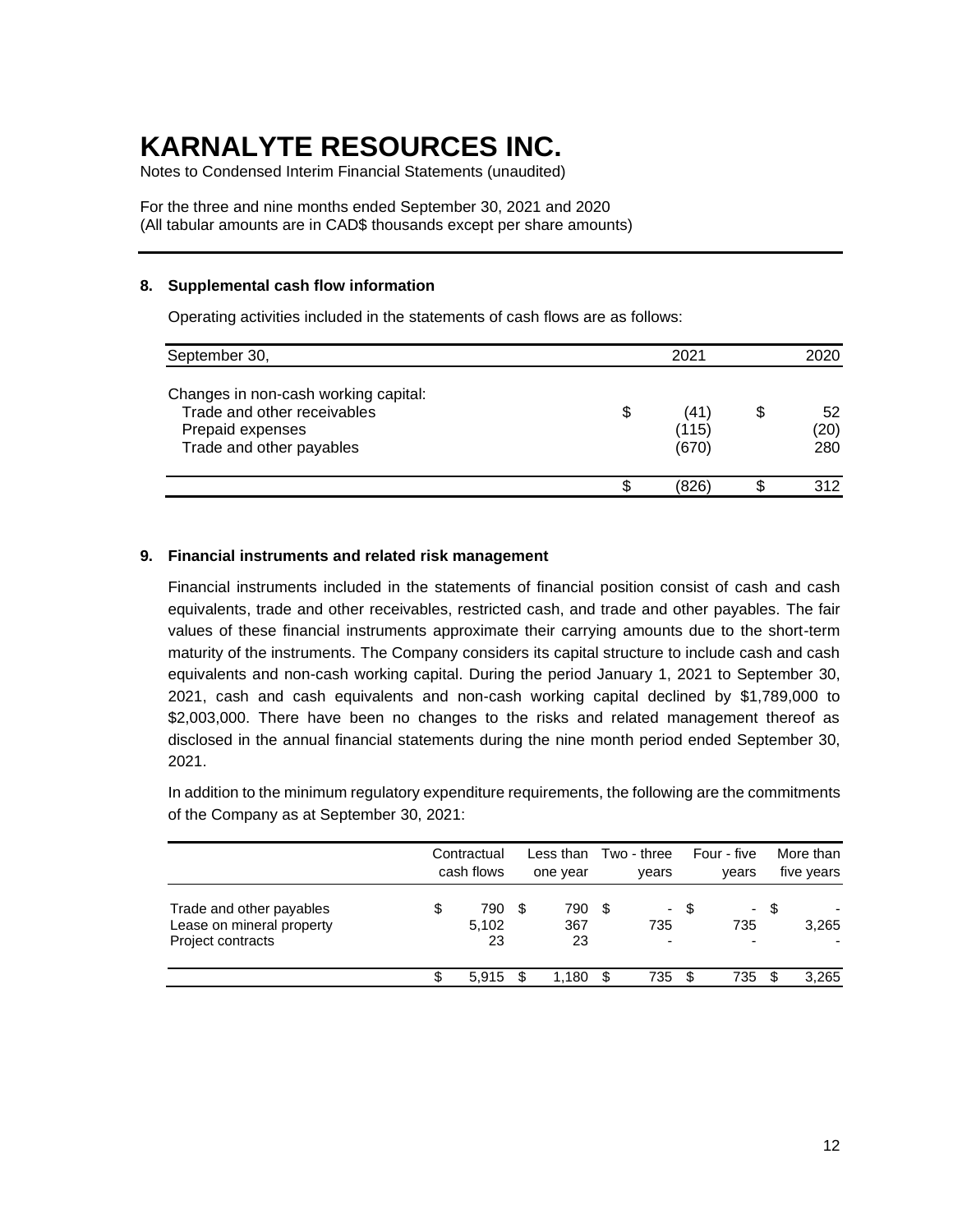Notes to Condensed Interim Financial Statements (unaudited)

For the three and nine months ended September 30, 2021 and 2020 (All tabular amounts are in CAD\$ thousands except per share amounts)

#### **8. Supplemental cash flow information**

Operating activities included in the statements of cash flows are as follows:

| September 30,                                                                                                       |    | 2021                  | 2020              |  |  |
|---------------------------------------------------------------------------------------------------------------------|----|-----------------------|-------------------|--|--|
| Changes in non-cash working capital:<br>Trade and other receivables<br>Prepaid expenses<br>Trade and other payables | \$ | (41<br>(115)<br>(670) | 52<br>(20)<br>280 |  |  |
|                                                                                                                     | ጥ  | (826`                 | 312               |  |  |

### **9. Financial instruments and related risk management**

Financial instruments included in the statements of financial position consist of cash and cash equivalents, trade and other receivables, restricted cash, and trade and other payables. The fair values of these financial instruments approximate their carrying amounts due to the short-term maturity of the instruments. The Company considers its capital structure to include cash and cash equivalents and non-cash working capital. During the period January 1, 2021 to September 30, 2021, cash and cash equivalents and non-cash working capital declined by \$1,789,000 to \$2,003,000. There have been no changes to the risks and related management thereof as disclosed in the annual financial statements during the nine month period ended September 30, 2021.

In addition to the minimum regulatory expenditure requirements, the following are the commitments of the Company as at September 30, 2021:

|                                                                                   | Contractual<br>cash flows |     | Less than<br>one year |      | Two - three<br>years            |      | Four - five<br>years |      | More than<br>five years |
|-----------------------------------------------------------------------------------|---------------------------|-----|-----------------------|------|---------------------------------|------|----------------------|------|-------------------------|
| Trade and other payables<br>Lease on mineral property<br><b>Project contracts</b> | \$<br>790<br>5,102<br>23  | \$  | 790<br>367<br>23      | - \$ | 735<br>$\overline{\phantom{0}}$ | - \$ | 735                  | - \$ | 3,265                   |
|                                                                                   | 5.915                     | \$. | 1.180                 | - \$ | 735                             | ß.   | 735                  |      | 3.265                   |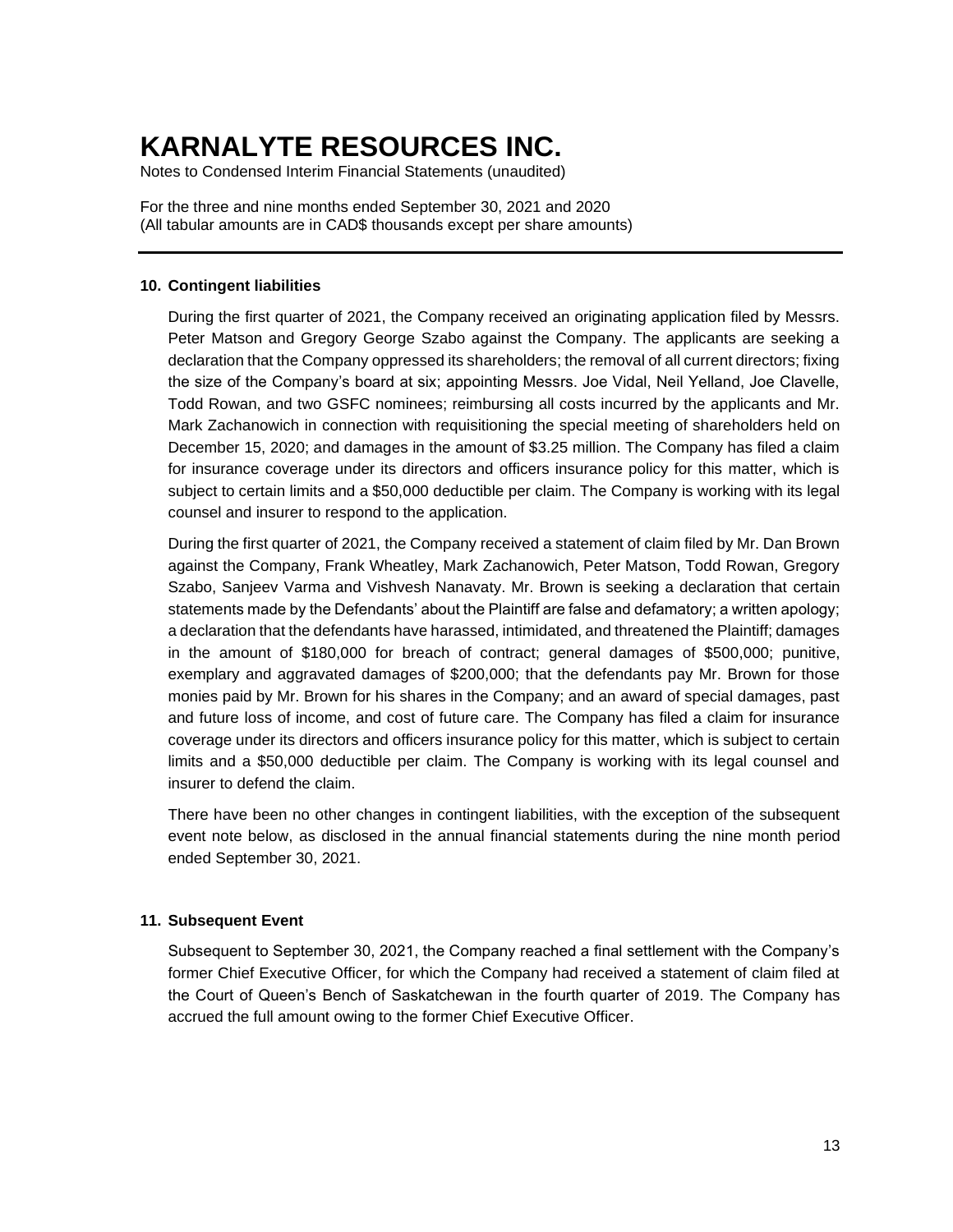Notes to Condensed Interim Financial Statements (unaudited)

For the three and nine months ended September 30, 2021 and 2020 (All tabular amounts are in CAD\$ thousands except per share amounts)

#### **10. Contingent liabilities**

During the first quarter of 2021, the Company received an originating application filed by Messrs. Peter Matson and Gregory George Szabo against the Company. The applicants are seeking a declaration that the Company oppressed its shareholders; the removal of all current directors; fixing the size of the Company's board at six; appointing Messrs. Joe Vidal, Neil Yelland, Joe Clavelle, Todd Rowan, and two GSFC nominees; reimbursing all costs incurred by the applicants and Mr. Mark Zachanowich in connection with requisitioning the special meeting of shareholders held on December 15, 2020; and damages in the amount of \$3.25 million. The Company has filed a claim for insurance coverage under its directors and officers insurance policy for this matter, which is subject to certain limits and a \$50,000 deductible per claim. The Company is working with its legal counsel and insurer to respond to the application.

During the first quarter of 2021, the Company received a statement of claim filed by Mr. Dan Brown against the Company, Frank Wheatley, Mark Zachanowich, Peter Matson, Todd Rowan, Gregory Szabo, Sanjeev Varma and Vishvesh Nanavaty. Mr. Brown is seeking a declaration that certain statements made by the Defendants' about the Plaintiff are false and defamatory; a written apology; a declaration that the defendants have harassed, intimidated, and threatened the Plaintiff; damages in the amount of \$180,000 for breach of contract; general damages of \$500,000; punitive, exemplary and aggravated damages of \$200,000; that the defendants pay Mr. Brown for those monies paid by Mr. Brown for his shares in the Company; and an award of special damages, past and future loss of income, and cost of future care. The Company has filed a claim for insurance coverage under its directors and officers insurance policy for this matter, which is subject to certain limits and a \$50,000 deductible per claim. The Company is working with its legal counsel and insurer to defend the claim.

There have been no other changes in contingent liabilities, with the exception of the subsequent event note below, as disclosed in the annual financial statements during the nine month period ended September 30, 2021.

#### **11. Subsequent Event**

Subsequent to September 30, 2021, the Company reached a final settlement with the Company's former Chief Executive Officer, for which the Company had received a statement of claim filed at the Court of Queen's Bench of Saskatchewan in the fourth quarter of 2019. The Company has accrued the full amount owing to the former Chief Executive Officer.